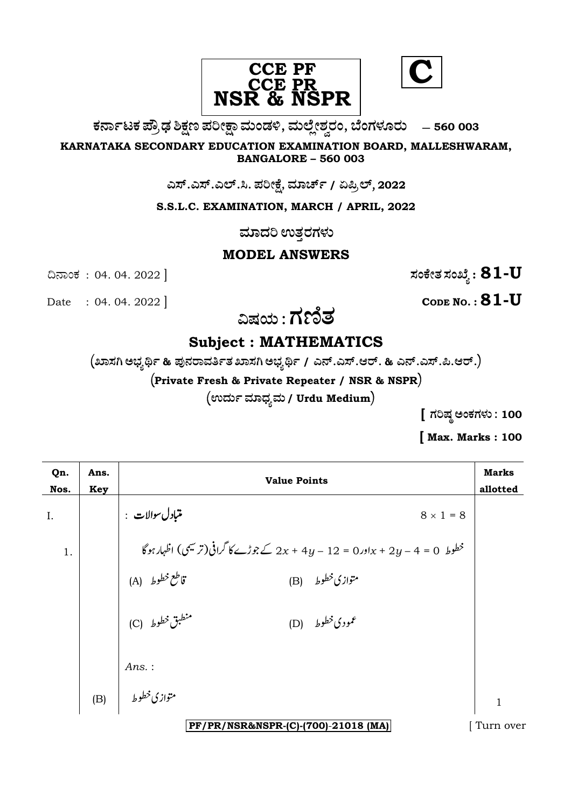

ಕರ್ನಾಟಕ ಪ್ರೌಢ ಶಿಕ್ಷಣ ಪರೀಕ್ಷಾ ಮಂಡಳಿ, ಮಲ್ಲೇಶ್ವರಂ, ಬೆಂಗಳೂರು – 560 003

KARNATAKA SECONDARY EDUCATION EXAMINATION BOARD, MALLESHWARAM, **BANGALORE - 560 003** 

ಎಸ್.ಎಸ್.ಎಲ್.ಸಿ. ಪರೀಕ್ಷೆ, ಮಾರ್ಚ್ / ಏಪ್ರಿಲ್, 2022

S.S.L.C. EXAMINATION, MARCH / APRIL, 2022

ಮಾದರಿ ಉತ್ತರಗಳು

### **MODEL ANSWERS**

ಸಂಕೇತ ಸಂಖ್ಯೆ :  $81$ - $\rm U$ 

Date : 04. 04. 2022

ದಿನಾಂಕ : 04.04.2022 ]

CODE NO.:  $81 - U$ 

ವಿಷಯ : ಗಣಿತ

# **Subject: MATHEMATICS**

 $\left($ ಖಾಸಗಿ ಅಭ್ಯರ್ಥಿ & ಪುನರಾವರ್ತಿತ ಖಾಸಗಿ ಅಭ್ಯರ್ಥಿ / ಎನ್.ಎಸ್.ಆರ್. & ಎನ್.ಎಸ್.ಪಿ.ಆರ್. $\right)$ 

(Private Fresh & Private Repeater / NSR & NSPR)

(ಉರ್ದು ಮಾಧ್ಯಮ / Urdu Medium)

[ ಗರಿಷ್ಠ ಅಂಕಗಳು : 100

[Max. Marks: 100

| Qn.<br>Nos. | Ans.<br><b>Key</b> | <b>Value Points</b>                                                           |              |
|-------------|--------------------|-------------------------------------------------------------------------------|--------------|
| Ι.          |                    | متبادل سوالات :<br>$8 \times 1 = 8$                                           |              |
| 1.          |                    | خطوط 0 = 4 - 2y + 2y + 2y = 12 - 2y + 4y كے جوڑے کا گرافی(ترمیسی) اظہار ہو گا |              |
|             |                    | قاطع خطوط (A)<br>متوازي خطوط (B)                                              |              |
|             |                    | منطبق خطوط (C)<br>(D) $\int f(x) dx$ ودی خطوط                                 |              |
|             |                    | $Ans.$ :                                                                      |              |
|             |                    | متوازی خطوط      (B)                                                          | $\mathbf{1}$ |
|             |                    | PF/PR/NSR&NSPR-(C)-(700)-21018 (MA)                                           | Turn over    |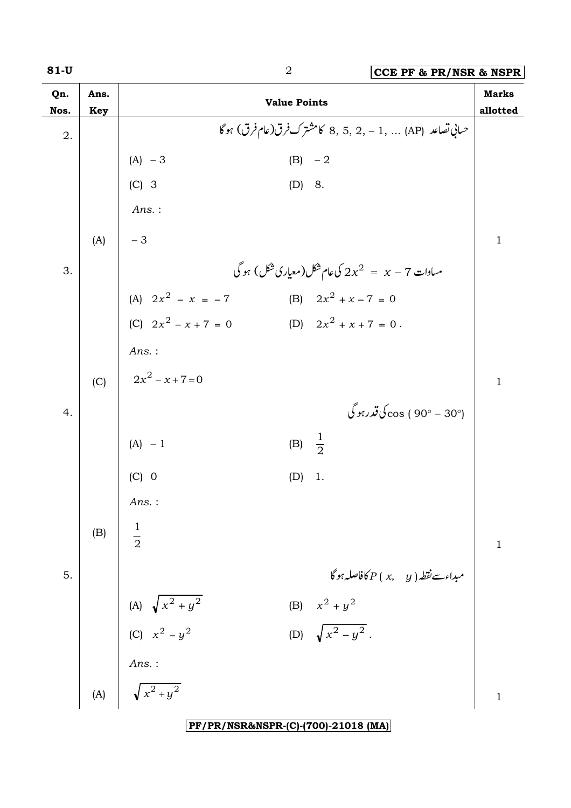| Qn.<br>Nos. | Ans.<br><b>Key</b> |                                           | <b>Value Points</b> |                                                            | <b>Marks</b><br>allotted |
|-------------|--------------------|-------------------------------------------|---------------------|------------------------------------------------------------|--------------------------|
| 2.          |                    |                                           |                     | حساني تصاعد  (AP)  ,1 - ,2 ,5 ,2 كامشترك فرق(عام فرق) ہوگا |                          |
|             |                    | $(A) - 3$                                 | $(B) -2$            |                                                            |                          |
|             |                    | $(C)$ 3                                   | (D) 8.              |                                                            |                          |
|             |                    | Ans.:                                     |                     |                                                            |                          |
|             | (A)                | $-3$                                      |                     |                                                            | $\mathbf{1}$             |
| 3.          |                    |                                           |                     | مساوات 7 $x-z=2$ کی عام شکل(معیاری شکل) ہو گی              |                          |
|             |                    | (A) $2x^2 - x = -7$                       |                     | (B) $2x^2 + x - 7 = 0$                                     |                          |
|             |                    | (C) $2x^2 - x + 7 = 0$                    |                     | (D) $2x^2 + x + 7 = 0$ .                                   |                          |
|             |                    | Ans.:                                     |                     |                                                            |                          |
|             | (C)                | $2x^2 - x + 7 = 0$                        |                     |                                                            | $\mathbf{1}$             |
| 4.          |                    |                                           |                     | (°30 - °90 ) 00s ك <b>ې</b> قدرېو گې                       |                          |
|             |                    | $(A) - 1$                                 | (B) $\frac{1}{2}$   |                                                            |                          |
|             |                    | $(C)$ 0                                   | (D)                 | 1.                                                         |                          |
|             |                    | $Ans.$ :                                  |                     |                                                            |                          |
|             | (B)                | $\frac{1}{2}$                             |                     |                                                            | $\mathbf 1$              |
| 5.          |                    |                                           |                     | $\delta P(x, y)$ مېداءت نقطه $P(x, y)$ فاصله ہو            |                          |
|             |                    | (A) $\sqrt{x^2 + y^2}$<br>(C) $x^2 - y^2$ |                     | (B) $x^2 + y^2$                                            |                          |
|             |                    |                                           |                     | (D) $\sqrt{x^2-y^2}$ .                                     |                          |
|             |                    | Ans.:                                     |                     |                                                            |                          |
|             |                    | (A) $\sqrt{x^2 + y^2}$                    |                     |                                                            | 1                        |
|             |                    |                                           |                     | PF/PR/NSR&NSPR-(C)-(700)-21018 (MA)                        |                          |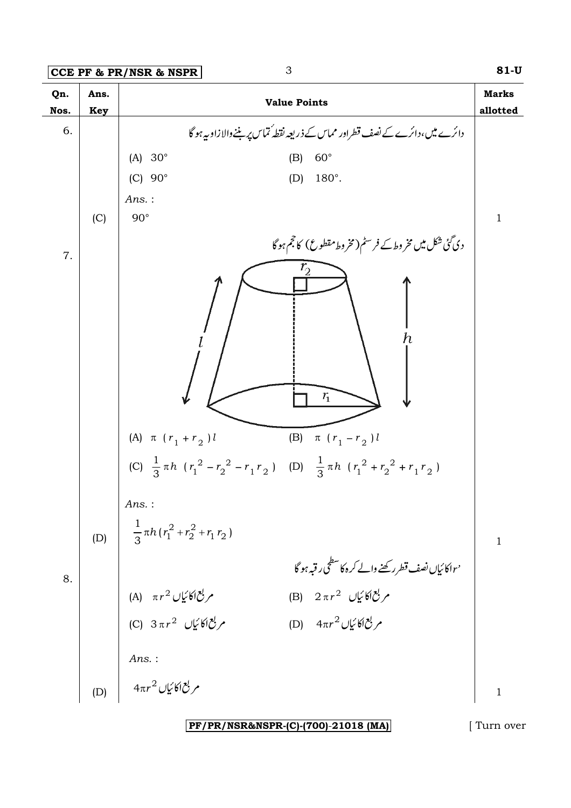**CCE PF & PR/NSR & NSPR** 3 **81-U**



**PF/PR/NSR&NSPR-(C)-(700)**-**21018 (MA)** [ Turn over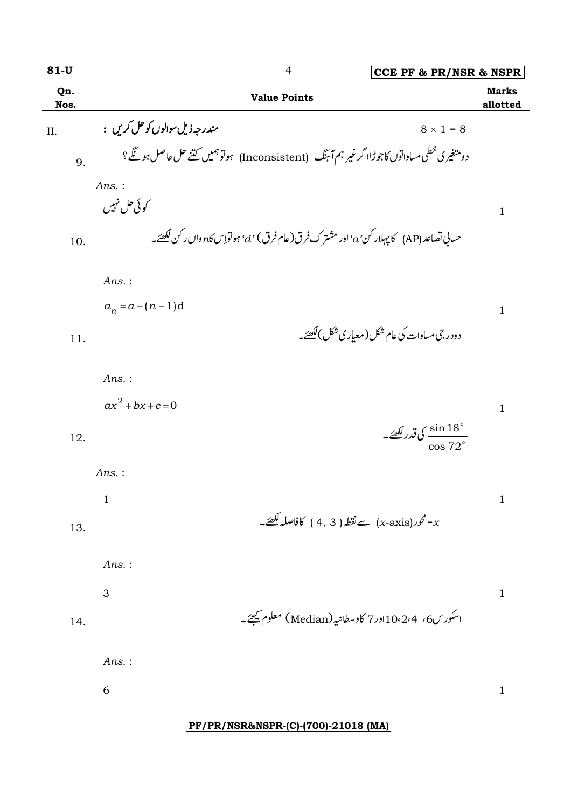| $81-U$      | $\overline{4}$<br>CCE PF & PR/NSR & NSPR                                                       |                          |
|-------------|------------------------------------------------------------------------------------------------|--------------------------|
| Qn.<br>Nos. | <b>Value Points</b>                                                                            | <b>Marks</b><br>allotted |
| II.         | مندرجهذيل سوالوں کو حل کريں :<br>$8 \times 1 = 8$                                              |                          |
| 9.          | دومتغیری خطی مساواتوں کاجوڑاا گرغیر ہم آ ہنگ   (Inconsistent)   ہوتوہمیں کتنے حل حاصل ہو گئے ؟ |                          |
|             | Ans.:                                                                                          |                          |
|             | کوئی حل نہیں                                                                                   | $\mathbf{1}$             |
| 10.         | حسانې تصاعد (AP)   كاپېلار كن 'a' اور مشتر ك فرق(عام فرق) 'd' ہو تواس كا $n$ وال ركن لكھئے۔    |                          |
|             | $Ans.$ :                                                                                       |                          |
|             | $a_n = a + (n-1)d$                                                                             | $\mathbf{1}$             |
| 11.         | د ودر جی مساوات کی عام شکل ( معیار ی شکل )لکھئے۔                                               |                          |
|             |                                                                                                |                          |
|             | $Ans.$ :<br>$ax^{2} + bx + c = 0$                                                              |                          |
|             | ڭ $\frac{\sin 18^\circ}{2}$ ى قدر كھئے۔                                                        | $\mathbf{1}$             |
| 12.         | $\cos 72$                                                                                      |                          |
|             | $Ans.$ :                                                                                       |                          |
|             | T<br>حور(x-axis) سے نقطہ ( 4, 3 ) کافاصلہ لکھئے۔ $\sim$                                        | $\mathbf{1}$             |
| 13.         |                                                                                                |                          |
|             | Ans.:                                                                                          |                          |
|             | 3                                                                                              | $\mathbf 1$              |
| 14.         | اسکورس6، 10،2،4اور7 کاوسطانیہ (Median) معلوم ﷺ۔                                                |                          |
|             | $Ans.$ :                                                                                       |                          |
|             | 6                                                                                              | $\mathbf{1}$             |
|             |                                                                                                |                          |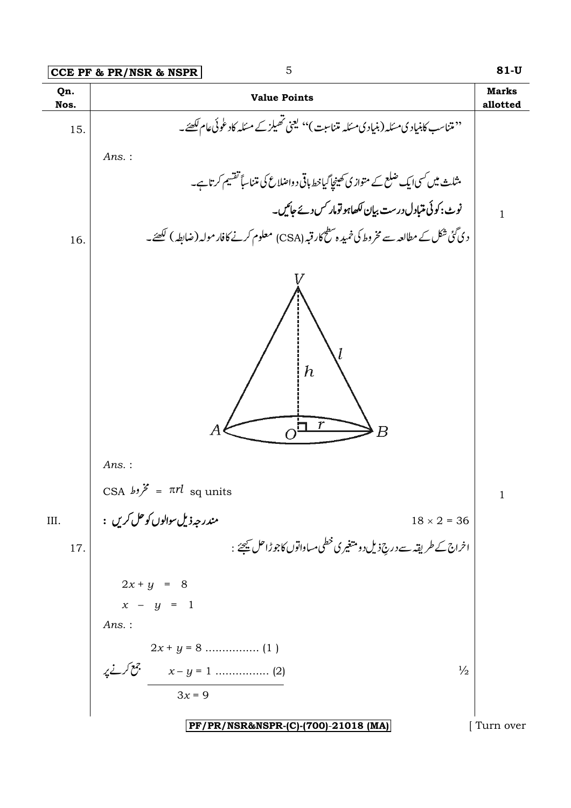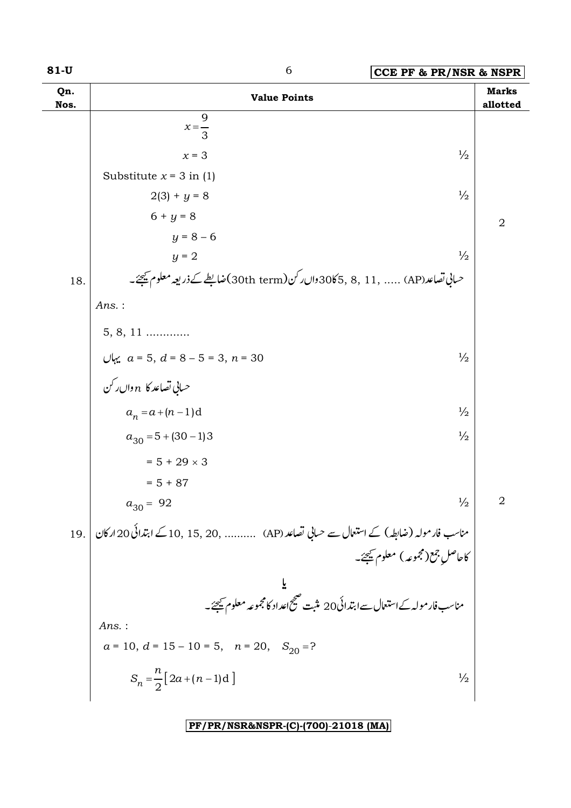| $81-U$      | 6<br><b>CCE PF &amp; PR/NSR &amp; NSPR</b>                                                  |                          |  |
|-------------|---------------------------------------------------------------------------------------------|--------------------------|--|
| Qn.<br>Nos. | <b>Value Points</b>                                                                         | <b>Marks</b><br>allotted |  |
|             | 9<br>$x=\frac{1}{3}$                                                                        |                          |  |
|             | $\frac{1}{2}$<br>$x = 3$                                                                    |                          |  |
|             | Substitute $x = 3$ in (1)                                                                   |                          |  |
|             | $\frac{1}{2}$<br>$2(3) + y = 8$                                                             |                          |  |
|             | $6 + y = 8$                                                                                 | $\overline{2}$           |  |
|             | $y = 8 - 6$                                                                                 |                          |  |
|             | $\frac{1}{2}$<br>$y = 2$                                                                    |                          |  |
| 18.         | حساني تصاعد(AP)  , 11 , 30 3065 وال رکن(30th term)ضابطے کے ذریعہ معلوم ﷺ ۔                  |                          |  |
|             | Ans.:                                                                                       |                          |  |
|             | $5, 8, 11 \dots$                                                                            |                          |  |
|             | $\frac{1}{2}$                                                                               |                          |  |
|             | يہاں $a = 5, d = 8 - 5 = 3, n = 30$ . يہاں n كافي تصاعد كا $n \in \mathbb{R}$               |                          |  |
|             | $a_n = a + (n-1)d$<br>$\frac{1}{2}$                                                         |                          |  |
|             | $\frac{1}{2}$<br>$a_{30} = 5 + (30 - 1)3$                                                   |                          |  |
|             | $= 5 + 29 \times 3$                                                                         |                          |  |
|             | $= 5 + 87$                                                                                  |                          |  |
|             | $\frac{1}{2}$<br>$a_{30} = 92$                                                              | $\overline{2}$           |  |
| 19.         | مناسب فارمولہ (ضابطہ) کے استعال سے حسابی تصاعد (AP)    , 15, 20, 15, 10 کے ابتدائی 20 ارکان |                          |  |
|             | کاحاصل جمع(مجموعه) معلوم کیجئے۔                                                             |                          |  |
|             |                                                                                             |                          |  |
|             | یا<br>مناسب فار مولہ کےاستعال سےابتدائی20 مثبت صحیح اعداد کامجموعہ معلوم کیجئے۔             |                          |  |
|             | $Ans.$ :                                                                                    |                          |  |
|             | $a = 10$ , $d = 15 - 10 = 5$ , $n = 20$ , $S_{20} = ?$                                      |                          |  |
|             | $S_n = \frac{n}{2} [2a + (n-1)d]$<br>$\frac{1}{2}$                                          |                          |  |
|             |                                                                                             |                          |  |

r<br>K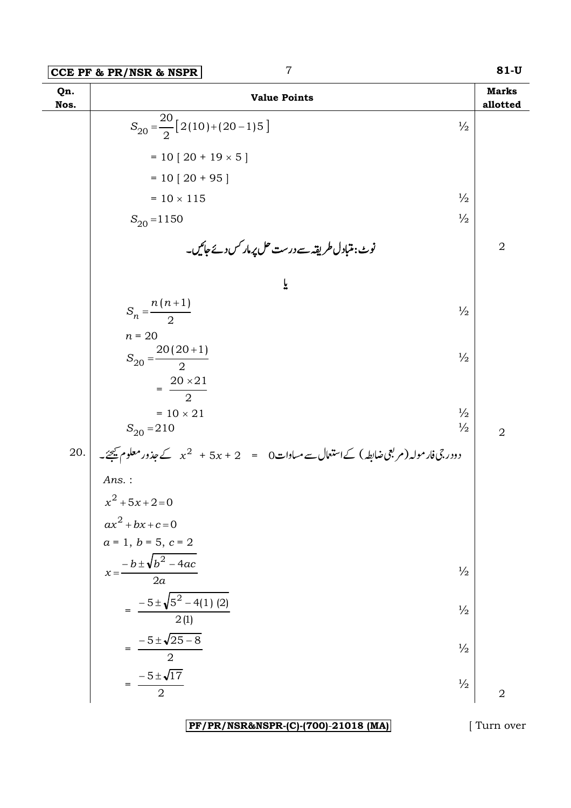**Q1 TT** 

|             | CCE PF & PR/NSR & NSPR<br>$\gamma$                                                       |                                | 81-U                     |
|-------------|------------------------------------------------------------------------------------------|--------------------------------|--------------------------|
| Qn.<br>Nos. | <b>Value Points</b>                                                                      |                                | <b>Marks</b><br>allotted |
|             | $S_{20} = \frac{20}{2} [2(10) + (20 - 1)5]$                                              | $\frac{1}{2}$                  |                          |
|             | $= 10 [20 + 19 \times 5]$                                                                |                                |                          |
|             | $= 10 [20 + 95]$                                                                         |                                |                          |
|             | $= 10 \times 115$                                                                        | $\frac{1}{2}$                  |                          |
|             | $S_{20} = 1150$                                                                          | $\frac{1}{2}$                  |                          |
|             | نوٹ: متبادل طریقہ سے درست حل پرمار کس دئے جائیں۔                                         |                                | $\sqrt{2}$               |
|             | ř                                                                                        |                                |                          |
|             | $S_n = \frac{n(n+1)}{2}$                                                                 | $\frac{1}{2}$                  |                          |
|             | $n = 20$<br>$S_{20} = \frac{20(20+1)}{2}$                                                | $\frac{1}{2}$                  |                          |
|             | $=\frac{20\times21}{2}$<br>$= 10 \times 21$<br>$S_{20} = 210$                            | $\frac{1}{2}$<br>$\frac{1}{2}$ | $\overline{2}$           |
| 20.         | دودرجی فار مولہ (مربعی ضابطہ) کےاستعمال سے مساوات 0 = $x + 5x + 5x + 2$ کے جذور معلوم ﷺ۔ |                                |                          |
|             | Ans.:                                                                                    |                                |                          |
|             | $x^2 + 5x + 2 = 0$                                                                       |                                |                          |
|             | $ax^{2} + bx + c = 0$                                                                    |                                |                          |
|             | $a = 1, b = 5, c = 2$<br>$-b \pm \sqrt{b^2 - 4ac}$<br>$x =$<br>2a                        | $\frac{1}{2}$                  |                          |
|             | $-5\pm\sqrt{5^2-4(1)(2)}$<br>$\overline{2(1)}$                                           | $\frac{1}{2}$                  |                          |
|             | $-5 \pm \sqrt{25 - 8}$<br>$\overline{2}$                                                 | $\frac{1}{2}$                  |                          |
|             | $-5 \pm \sqrt{17}$<br>$\overline{2}$                                                     | $\frac{1}{2}$                  | $\overline{2}$           |

PF/PR/NSR&NSPR-(C)-(700)-21018 (MA)

[ Turn over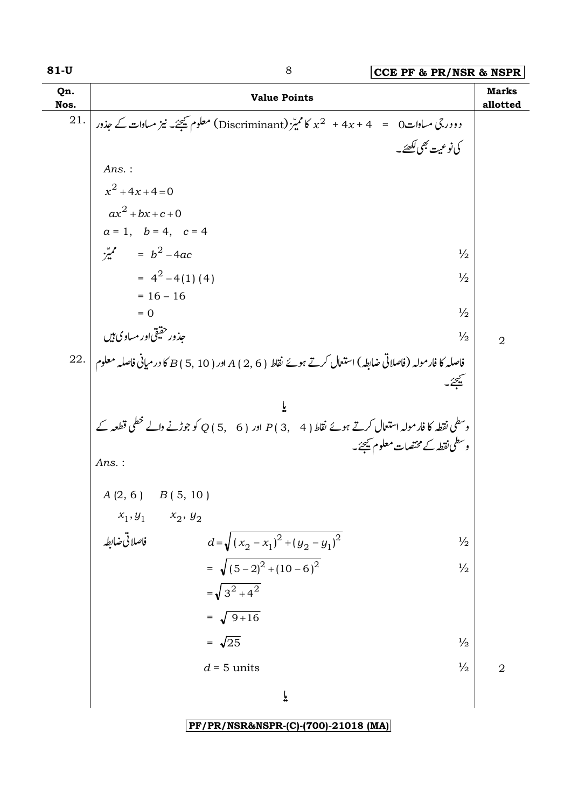| Qn.<br>Nos. | <b>Value Points</b>                                                                                                | <b>Marks</b><br>allotted |
|-------------|--------------------------------------------------------------------------------------------------------------------|--------------------------|
| 21.         | دو درجی مساوات $\zeta = 4x + 4x + 4$ کمیز $\zeta$ (Discriminant) معلوم ﷺ نیپختک نیز مساوات کے جذور                 |                          |
|             | كى نوعيت بھى لكھئے _                                                                                               |                          |
|             | Ans.:                                                                                                              |                          |
|             | $x^2 + 4x + 4 = 0$                                                                                                 |                          |
|             | $ax^{2} + bx + c + 0$                                                                                              |                          |
|             | $a = 1$ , $b = 4$ , $c = 4$                                                                                        |                          |
|             | $\frac{b^2}{2}$ = $b^2$ -4ac<br>$\frac{1}{2}$                                                                      |                          |
|             | $= 4^2 - 4(1)(4)$<br>$\frac{1}{2}$                                                                                 |                          |
|             | $= 16 - 16$<br>$\frac{1}{2}$<br>$= 0$                                                                              |                          |
|             | جذور حقیقی اور مساوی ہیں<br>$\frac{1}{2}$                                                                          |                          |
|             | 22. فاصلہ کا فارمولہ (فاصلاتی ضابطہ) استعال کرتے ہوئے نقاط ( 6 , 2 ) A اور ( 5 , 10 ) کا درمیانی فاصلہ معلوم   .22 | $\overline{2}$           |
|             |                                                                                                                    |                          |
|             |                                                                                                                    |                          |
|             | وسطی نقطہ کا فارمولہ استعمال کرتے ہوئے نقاط ( 4 ,4 ) P اور ( 5,6 ) Q کو جوڑنے والے خطی قطعہ کے                     |                          |
|             | وسطى نقطه كے مختصات معلوم كيھئے۔                                                                                   |                          |
|             | Ans.:                                                                                                              |                          |
|             | $A(2, 6)$ $B(5, 10)$                                                                                               |                          |
|             | $x_2, y_2$                                                                                                         |                          |
|             | $x_1,y_1$ فاصلاتی ضابطہ<br>$d=\sqrt{(x_2-x_1)^2+(y_2-y_1)^2}$<br>$\frac{1}{2}$                                     |                          |
|             | = $\sqrt{(5-2)^2+(10-6)^2}$<br>$\frac{1}{2}$                                                                       |                          |
|             | $=\sqrt{3^2+4^2}$                                                                                                  |                          |
|             | $=\sqrt{9+16}$                                                                                                     |                          |
|             | $=\sqrt{25}$<br>$\frac{1}{2}$                                                                                      |                          |
|             | $\frac{1}{2}$<br>$d = 5$ units                                                                                     | $\overline{2}$           |
|             | $\ddot{\mathsf{r}}$                                                                                                |                          |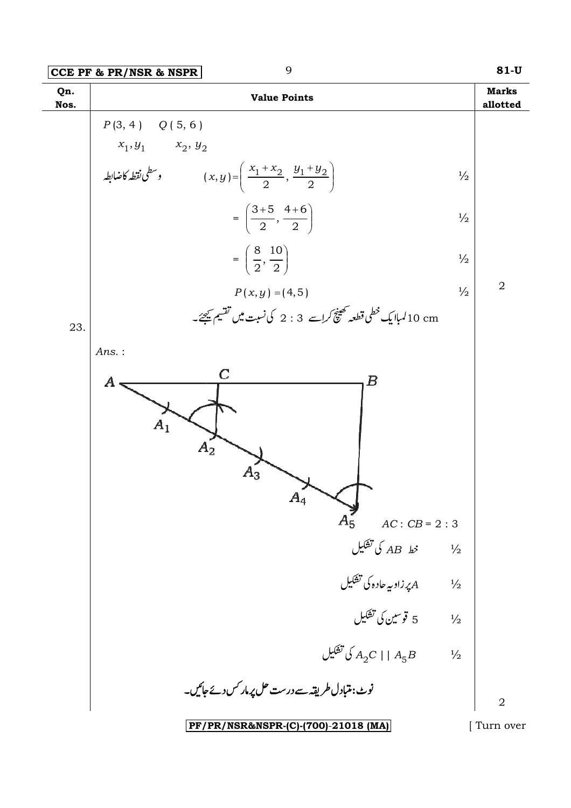| $ CCE$ PF & PR/NSR & NSPR $ $ |
|-------------------------------|
|-------------------------------|



[ Turn over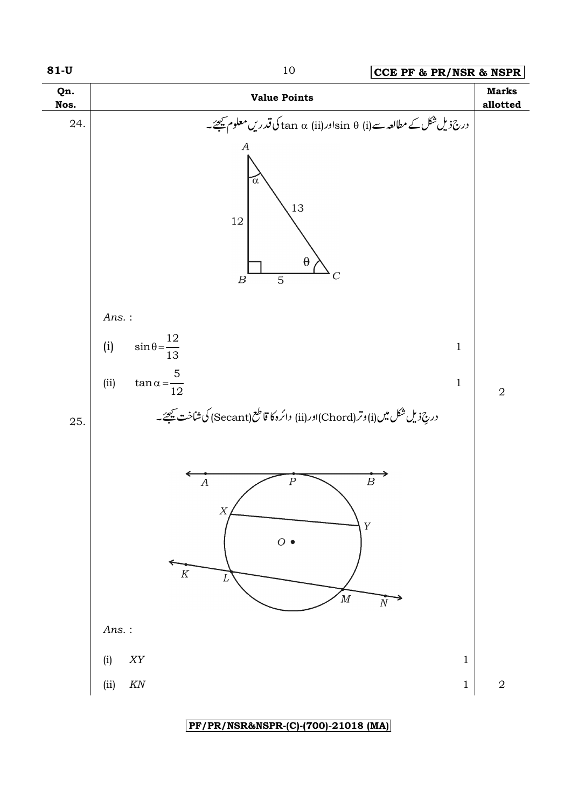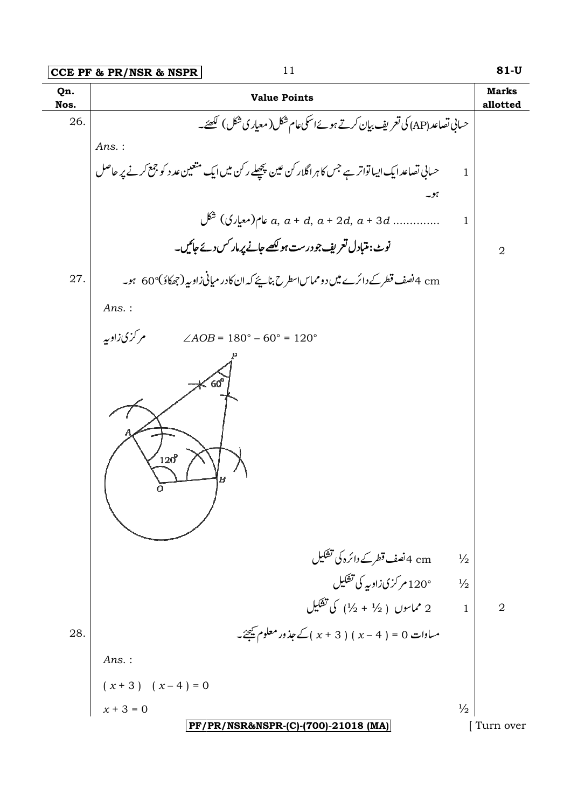|             | 11<br>CCE PF & PR/NSR & NSPR                                                                        | $81-U$                         |
|-------------|-----------------------------------------------------------------------------------------------------|--------------------------------|
| Qn.<br>Nos. | <b>Value Points</b>                                                                                 | <b>Marks</b><br>allotted       |
| 26.         | حساني تصاعد (AP) کی تعریف بیان کرتے ہوئےاسکی عام شکل (معیار ی شکل ) لکھئے۔                          |                                |
|             | Ans.:                                                                                               |                                |
|             | حسانی تصاعد ایک ایباتواتر ہے جس کا ہر اگلار کن عین پچھلے رکن میں ایک متعین عد د کو جمع کرنے پر حاصل | $\mathbf{1}$                   |
|             | ہو۔                                                                                                 |                                |
|             |                                                                                                     | 1                              |
|             | نوٹ: متبادل تعریف جو درست ہو لکھے جانے پر مار کس دئے جائیں۔                                         | $\overline{2}$                 |
| 27.         | cm 4 نصف قطرکے دائرے میں دو مماساسطر ح بنائے کہ ان کادر میانی زاویہ (جھکاؤ)°60   ہو۔                |                                |
|             | $Ans.$ :                                                                                            |                                |
|             | مر گزی زاویه<br>$\angle AOB = 180^{\circ} - 60^{\circ} = 120^{\circ}$                               |                                |
|             | $60^{\circ}$<br>$120^{\circ}$<br>$\boldsymbol{B}$                                                   |                                |
|             | cm 4نصف قطر کے دائرہ کی تشکیل                                                                       | $\frac{1}{2}$                  |
|             | 120°م کری زاویہ کی تشکیل<br>2 مماسوں ( 1⁄2 + 1⁄2) کی تشکیل                                          | $\frac{1}{2}$                  |
|             |                                                                                                     | $\mathbf{1}$<br>$\overline{2}$ |
| 28.         | مساوات 0 = ( 4 - x ) ( 3 + x ) کے جذور معلوم ﷺ۔                                                     |                                |
|             | $Ans.$ :                                                                                            |                                |
|             | $(x + 3) (x - 4) = 0$                                                                               |                                |
|             | $x + 3 = 0$                                                                                         | $\frac{1}{2}$                  |
|             | PF/PR/NSR&NSPR-(C)-(700)-21018 (MA)                                                                 | [Turn over                     |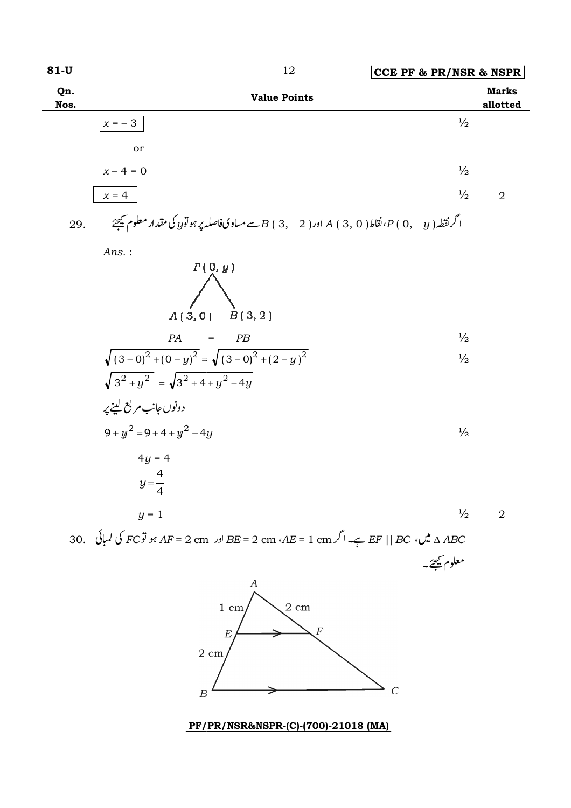

12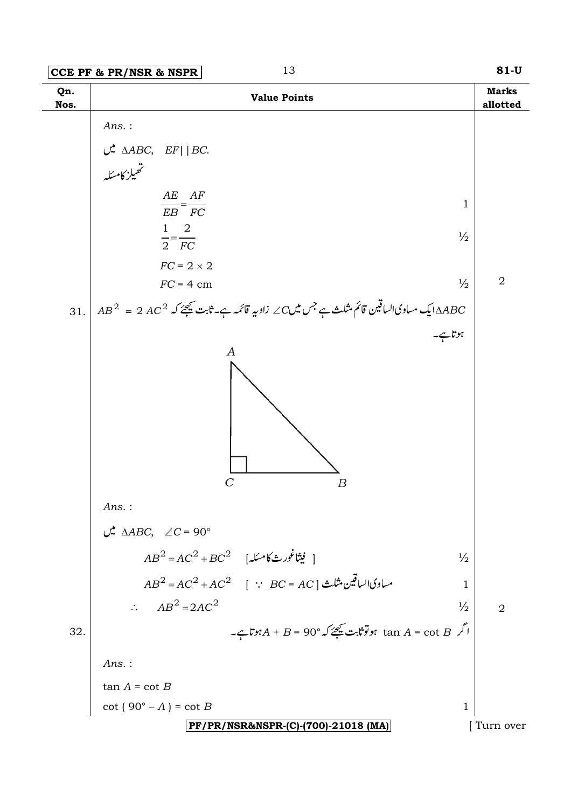|             | 13<br>CCE PF & PR/NSR & NSPR                                                                               | $81-U$                   |
|-------------|------------------------------------------------------------------------------------------------------------|--------------------------|
| Qn.<br>Nos. | <b>Value Points</b>                                                                                        | <b>Marks</b><br>allotted |
|             | $Ans.$ :                                                                                                   |                          |
|             |                                                                                                            |                          |
|             | $\mathcal{L}^{\mathbf{A}}$ $\triangle ABC$ , $EF$   BC.<br>۔<br>تھیلز کامسکہ                               |                          |
|             |                                                                                                            |                          |
|             | AE AF<br>$\mathbf{1}$<br>$\overline{EB} = \overline{FC}$                                                   |                          |
|             | $1 \quad 2$<br>$\frac{1}{2}$                                                                               |                          |
|             | $\overline{2} = \overline{FC}$                                                                             |                          |
|             | $FC = 2 \times 2$<br>$\frac{1}{2}$<br>$FC = 4$ cm                                                          | $\sqrt{2}$               |
|             |                                                                                                            |                          |
| 31.         | $AB^2\;=\;2\;AC^2\;$ ے مساوی الساقین قائم مثلث ہے جس میں $C$ زاویہ قائمہ ہے۔ ثابت کیجئے کہ $\triangle ABC$ |                          |
|             | ہوتاہے۔<br>A                                                                                               |                          |
|             | $\overline{C}$<br>$\boldsymbol{B}$                                                                         |                          |
|             | $Ans.$ :                                                                                                   |                          |
|             | $\mathcal{L}$ $\Delta ABC$ , $\angle C = 90^{\circ}$                                                       |                          |
|             | $AB^2 = AC^2 + BC^2$ [يشاغورث $\delta$ مسئله]<br>$\frac{1}{2}$                                             |                          |
|             | $AB^2 = AC^2 + AC^2$ [ $\because BC = AC$ ] مساوي الساقين مثلث<br>1                                        |                          |
|             | $\therefore \quad AB^2 = 2AC^2$<br>$\frac{1}{2}$                                                           | $\overline{2}$           |
| 32.         | $-$ ا گر $A + B = 90^{\circ}$ tan $A = \cot B$ تا ہو توثابت شیمئے کہ                                       |                          |
|             | $Ans.$ :                                                                                                   |                          |
|             | $tan A = cot B$                                                                                            |                          |
|             | $\cot(90^\circ - A) = \cot B$<br>1                                                                         |                          |
|             | PF/PR/NSR&NSPR-(C)-(700)-21018 (MA)                                                                        | Turn over                |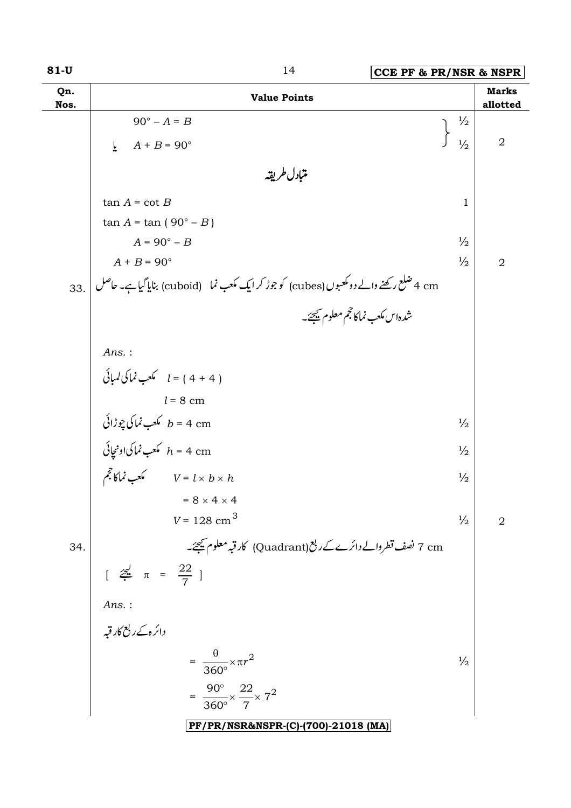| $81-U$      | 14<br>CCE PF & PR/NSR & NSPR                                                               |               |                          |
|-------------|--------------------------------------------------------------------------------------------|---------------|--------------------------|
| Qn.<br>Nos. | <b>Value Points</b>                                                                        |               | <b>Marks</b><br>allotted |
|             | $90^\circ - A = B$                                                                         | $\frac{1}{2}$ |                          |
|             | $A + B = 90^{\circ}$<br>$\overline{r}$                                                     | $\frac{1}{2}$ | $\overline{2}$           |
|             | متبادل طريقه                                                                               |               |                          |
|             | $tan A = cot B$                                                                            | 1             |                          |
|             | $tan A = tan (90° - B)$                                                                    |               |                          |
|             | $A = 90^\circ - B$                                                                         | $\frac{1}{2}$ |                          |
|             | $A + B = 90^{\circ}$                                                                       | $\frac{1}{2}$ | $\overline{2}$           |
| 33.         | 4 cm شلع رکھنے والے دومکعبوں (cubes) کو جوڑ کر ایک مکعب نما    (cuboid) بنایا گیا ہے۔ حاصل |               |                          |
|             | شدہاس مکعب نماکا حجم معلوم شیجئے۔                                                          |               |                          |
|             | $Ans.$ :                                                                                   |               |                          |
|             | $l = (4 + 4)$ كعب نماكى لمبائى                                                             |               |                          |
|             | $l = 8$ cm                                                                                 |               |                          |
|             |                                                                                            | $\frac{1}{2}$ |                          |
|             | كىلىپور <i>ائى لىچورائى b = 4 cm</i><br><i>h = 4 cm</i> كىعب نماكى <sub>ا</sub> ومچائى     | $\frac{1}{2}$ |                          |
|             | ته کلیب نماکا ججم $V = l \times b \times h$                                                | $\frac{1}{2}$ |                          |
|             | $= 8 \times 4 \times 4$                                                                    |               |                          |
|             | $V = 128$ cm <sup>3</sup>                                                                  | $\frac{1}{2}$ | $\overline{2}$           |
| 34.         | 7 cm نصف قطروالے دائرے کے ربع (Quadrant) کار قبہ معلوم کیجئے۔                              |               |                          |
|             | $\left[\begin{array}{cc} \frac{2}{\sqrt{2}} & \pi = \frac{22}{7} \end{array}\right]$       |               |                          |
|             | $Ans.$ :                                                                                   |               |                          |
|             | دائرہ کے ربع کار قبہ                                                                       |               |                          |
|             | $= \frac{\theta}{360^{\circ}} \times \pi r^2$                                              | $\frac{1}{2}$ |                          |
|             | $=\frac{90^{\circ}}{360^{\circ}} \times \frac{22}{7} \times 7^{2}$                         |               |                          |
|             | PF/PR/NSR&NSPR-(C)-(700)-21018 (MA)                                                        |               |                          |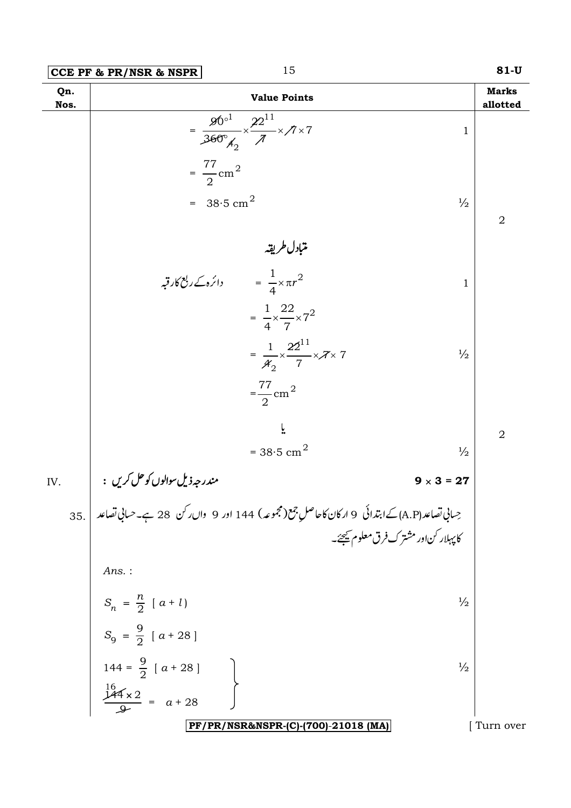|             | 15<br>CCE PF & PR/NSR & NSPR                                                                                      | $81-U$                   |
|-------------|-------------------------------------------------------------------------------------------------------------------|--------------------------|
| Qn.<br>Nos. | <b>Value Points</b>                                                                                               | <b>Marks</b><br>allotted |
|             | $=\frac{90^{\circ1}}{360^{\circ}_{A_2}} \times \frac{22^{11}}{\pi} \times 7 \times 7$<br>$\mathbf{1}$             |                          |
|             | $=\frac{77}{2}$ cm <sup>2</sup>                                                                                   |                          |
|             | = $38.5 \text{ cm}^2$<br>$\frac{1}{2}$                                                                            | $\overline{2}$           |
|             | متبادل طريقه                                                                                                      |                          |
|             | ائرہ کے ربع کار قبہ $\int_0^2 \cos^2 \theta \, d\theta = \frac{1}{4} \sin^2 \theta$<br>$\mathbf{1}$               |                          |
|             | $=\frac{1}{4} \times \frac{22}{7} \times 7^2$                                                                     |                          |
|             | $=\frac{1}{4^{\circ}}\times\frac{22^{11}}{7}\times7\times7$<br>$\frac{1}{2}$                                      |                          |
|             | $=\frac{77}{2}$ cm <sup>2</sup>                                                                                   |                          |
|             |                                                                                                                   | $\overline{2}$           |
|             | = $38.5$ cm <sup>2</sup><br>$\frac{1}{2}$                                                                         |                          |
| IV.         | مندرجه ذيل سوالوں کو حل کريں :<br>$9 \times 3 = 27$                                                               |                          |
| 35.         | حِسانِي تصاعد (A.P) کےابتدائی   9 ارکان کاحاصلِ جمع(مجموعہ) 144 اور  9  واں ر <sup>ک</sup> ن   28 ہے۔حسانِی تصاعد |                          |
|             | کا پہلار کن اور مشترک فرق معلوم کیجئے۔                                                                            |                          |
|             | $Ans.$ :                                                                                                          |                          |
|             | $S_n = \frac{n}{2} [a + l]$<br>$\frac{1}{2}$                                                                      |                          |
|             | $S_9 = \frac{9}{2} [a + 28]$                                                                                      |                          |
|             | 144 = $\frac{9}{2}$ [ a + 28 ]<br>$\frac{16}{2}$<br>$\frac{144 \times 2}{2}$ = a + 28<br>$\frac{1}{2}$            |                          |
|             |                                                                                                                   |                          |
|             | PF/PR/NSR&NSPR-(C)-(700)-21018 (MA)                                                                               | Turn over                |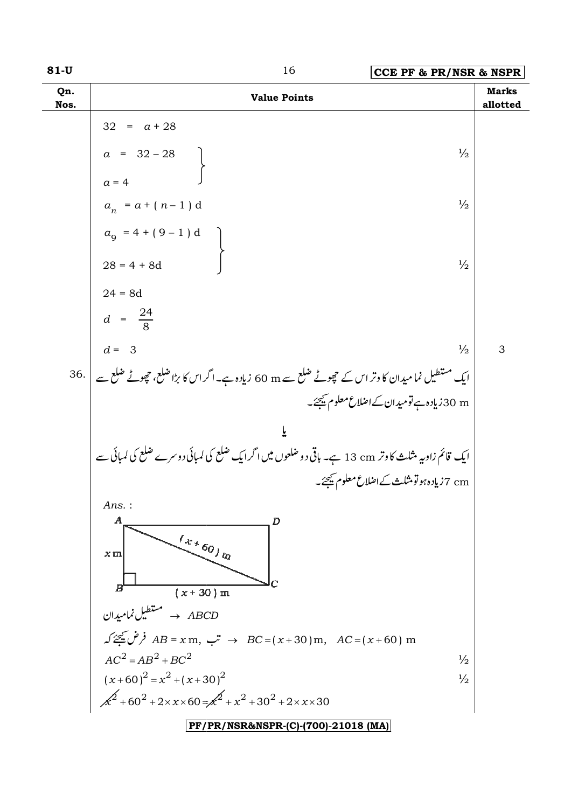| M.<br>۰.<br>v.<br>۰, |
|----------------------|
|----------------------|

| $81-U$      | 16<br>CCE PF & PR/NSR & NSPR                                                                         |                          |
|-------------|------------------------------------------------------------------------------------------------------|--------------------------|
| Qn.<br>Nos. | <b>Value Points</b>                                                                                  | <b>Marks</b><br>allotted |
|             | $32 = a + 28$                                                                                        |                          |
|             | $a = 32 - 28$<br>$\frac{1}{2}$                                                                       |                          |
|             | $a = 4$                                                                                              |                          |
|             | $\frac{1}{2}$<br>$a_n = a + (n-1) d$                                                                 |                          |
|             | $a_9 = 4 + (9 - 1) d$                                                                                |                          |
|             | $28 = 4 + 8d$<br>$\frac{1}{2}$                                                                       |                          |
|             | $24 = 8d$                                                                                            |                          |
|             | $d = \frac{24}{8}$                                                                                   |                          |
|             | $d = 3$<br>$\frac{1}{2}$                                                                             | 3                        |
|             | ایک مستطیل نما میدان کا وتر اس کے حچوٹے ضلع سے 60 m زیادہ ہے۔اگراس کا بڑا ضلع، حچوٹے ضلع سے   36.    |                          |
|             | 30 m نیادہ ہے تومیدان کے اضلاع معلوم ﷺ۔                                                              |                          |
|             | ĩ                                                                                                    |                          |
|             | ایک قائم زاویہ مثلث کا وتر 13 cm ہے۔ ہاقی دو ضلعوں میں اگرایک ضلع کی لمبائی دوسرے ضلع کی لمبائی سے   |                          |
|             | cm 7زیادہ ہو تو مثلث کے اضلاع معلوم کیجئے۔                                                           |                          |
|             | Ans.:                                                                                                |                          |
|             | $\boldsymbol{A}$<br>D                                                                                |                          |
|             | $/$ + $60/$ $\eta_{l}$<br>x <sub>m</sub>                                                             |                          |
|             | $B^{\prime}$<br>$(x + 30)$ m                                                                         |                          |
|             | مستطيل نماميدان ABCD                                                                                 |                          |
|             | $\angle A B = x \text{ m}, \quad \therefore B C = (x + 30) \text{ m}, \quad AC = (x + 60) \text{ m}$ |                          |
|             | $AC2 = AB2 + BC2$<br>$\frac{1}{2}$                                                                   |                          |
|             | $(x+60)^2 = x^2 + (x+30)^2$<br>$\frac{1}{2}$                                                         |                          |
|             | $\chi^2$ +60 <sup>2</sup> +2×x×60= $\chi^2$ +x <sup>2</sup> +30 <sup>2</sup> +2×x×30                 |                          |
|             | PF/PR/NSR&NSPR-(C)-(700)-21018 (MA)                                                                  |                          |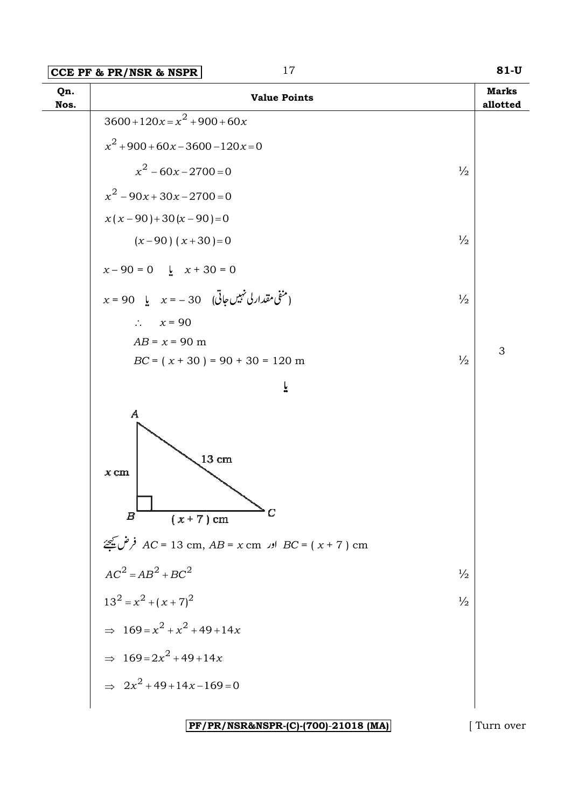| $3600+120x=x^2+900+60x$<br>$x^{2}$ + 900 + 60x – 3600 – 120x = 0<br>$x^2$ – 60x – 2700 = 0<br>$x^2-90x+30x-2700=0$<br>$x(x-90)+30(x-90)=0$ | $\frac{1}{2}$<br>$\frac{1}{2}$ |   |
|--------------------------------------------------------------------------------------------------------------------------------------------|--------------------------------|---|
|                                                                                                                                            |                                |   |
|                                                                                                                                            |                                |   |
|                                                                                                                                            |                                |   |
|                                                                                                                                            |                                |   |
|                                                                                                                                            |                                |   |
| $(x-90)$ $(x+30)=0$                                                                                                                        |                                |   |
| $x - 90 = 0$ $\frac{1}{2}$ $x + 30 = 0$                                                                                                    |                                |   |
| $x = 90$ لِمَنْقَى مقدار لی نہیں جاتی ) (20 – = x یا $x = -30$                                                                             | $\frac{1}{2}$                  |   |
| $\therefore \quad x = 90$                                                                                                                  |                                |   |
| $AB = x = 90$ m<br>$BC = (x + 30) = 90 + 30 = 120$ m                                                                                       | $\frac{1}{2}$                  | 3 |
|                                                                                                                                            |                                |   |
| ř                                                                                                                                          |                                |   |
| $\boldsymbol{A}$<br>$13\ {\rm cm}$<br>$x \,$ cm<br>$\rightharpoonup_C$<br>$(x+7)$ cm<br>$\boldsymbol{B}$                                   |                                |   |
| $AC = 13 \text{ cm}$ , $AB = x \text{ cm}$ اور $BC = (x + 7) \text{ cm}$                                                                   |                                |   |
| $AC2 = AB2 + BC2$                                                                                                                          | $\frac{1}{2}$                  |   |
| $13^2 = x^2 + (x+7)^2$                                                                                                                     | $\frac{1}{2}$                  |   |
| $\Rightarrow 169 = x^2 + x^2 + 49 + 14x$                                                                                                   |                                |   |
| $\Rightarrow 169 = 2x^2 + 49 + 14x$                                                                                                        |                                |   |
| $\Rightarrow 2x^2 + 49 + 14x - 169 = 0$                                                                                                    |                                |   |

### PF/PR/NSR&NSPR-(C)-(700)-21018 (MA)

[Turn over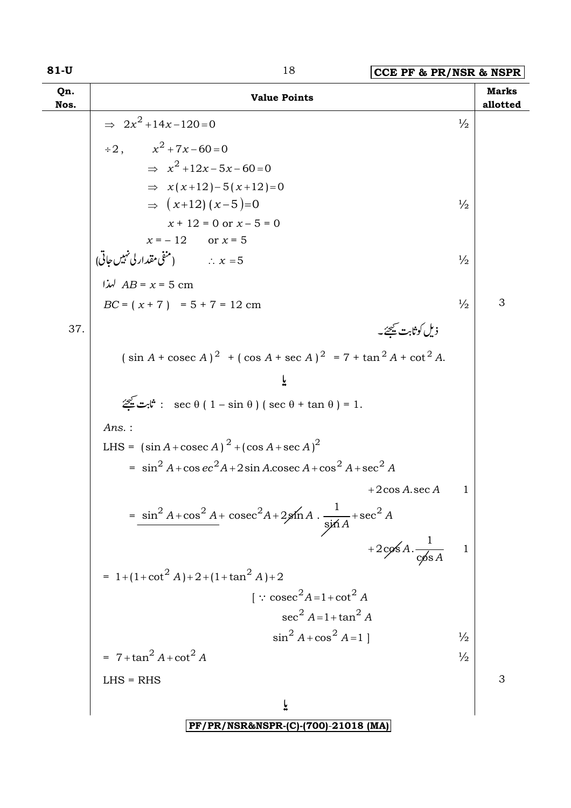| 81-U        | 18<br>CCE PF & PR/NSR & NSPR                                                                               |                |                          |
|-------------|------------------------------------------------------------------------------------------------------------|----------------|--------------------------|
| Qn.<br>Nos. | <b>Value Points</b>                                                                                        |                | <b>Marks</b><br>allotted |
|             | $\Rightarrow 2x^2 + 14x - 120 = 0$                                                                         | $\frac{1}{2}$  |                          |
|             | $\div 2$ , $x^2 + 7x - 60 = 0$                                                                             |                |                          |
|             | $\Rightarrow x^2 + 12x - 5x - 60 = 0$                                                                      |                |                          |
|             | $\Rightarrow$ $x(x+12)-5(x+12)=0$                                                                          |                |                          |
|             | $\Rightarrow$ $(x+12)(x-5)=0$                                                                              | $\frac{1}{2}$  |                          |
|             | $x + 12 = 0$ or $x - 5 = 0$                                                                                |                |                          |
|             | $x = -12$ or $x = 5$                                                                                       |                |                          |
|             | شقى مقدار لى نہيں جاتى)<br>$x = 5$ سنرا $AB = x = 5$ cm                                                    | $\frac{1}{2}$  |                          |
|             |                                                                                                            |                |                          |
|             | $BC = (x + 7) = 5 + 7 = 12$ cm                                                                             | $\frac{1}{2}$  | 3                        |
| 37.         | ذیل کوثابت <u>می</u> جئے۔                                                                                  |                |                          |
|             | $(\sin A + \csc A)^2$ + $(\cos A + \sec A)^2$ = 7 + $\tan^2 A + \cot^2 A$ .                                |                |                          |
|             | یا                                                                                                         |                |                          |
|             | $\mathscr{Z}$ : $\mathfrak{r}$ : sec $\theta$ ( $1 - \sin \theta$ ) ( sec $\theta$ + $\tan \theta$ ) = 1.  |                |                          |
|             | $Ans.$ :                                                                                                   |                |                          |
|             | LHS = $(\sin A + \csc A)^2 + (\cos A + \sec A)^2$                                                          |                |                          |
|             | $=$ sin <sup>2</sup> A + cos ec <sup>2</sup> A + 2 sin A cosec A + cos <sup>2</sup> A + sec <sup>2</sup> A |                |                          |
|             | $+2\cos A \sec A$                                                                                          | 1              |                          |
|             | $=\frac{\sin^2 A + \cos^2 A + \csc^2 A + 2\sin A \cdot \frac{1}{\sin A} + \sec^2 A}{\sin A}$               |                |                          |
|             | +2cos A. $\frac{1}{\cos A}$                                                                                | $\overline{1}$ |                          |
|             | $= 1 + (1 + \cot^2 A) + 2 + (1 + \tan^2 A) + 2$                                                            |                |                          |
|             | $\int$ : cosec <sup>2</sup> A=1+cot <sup>2</sup> A                                                         |                |                          |
|             | $\sec^2 A = 1 + \tan^2 A$                                                                                  |                |                          |
|             | $\sin^2 A + \cos^2 A = 1$                                                                                  | $\frac{1}{2}$  |                          |
|             | $= 7 + \tan^2 A + \cot^2 A$                                                                                | $\frac{1}{2}$  |                          |
|             | $LHS = RHS$                                                                                                |                | 3                        |
|             | ř                                                                                                          |                |                          |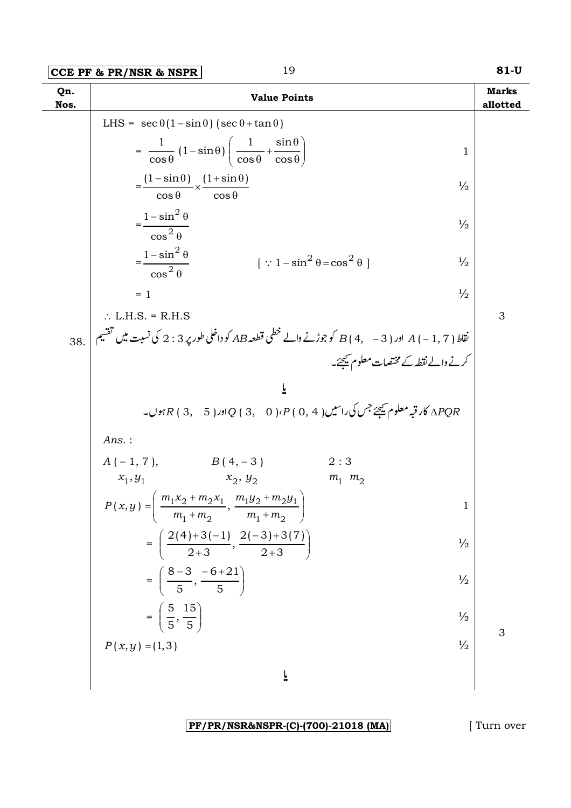|             | 19<br>CCE PF & PR/NSR & NSPR                                                                                | $81-U$                   |
|-------------|-------------------------------------------------------------------------------------------------------------|--------------------------|
| Qn.<br>Nos. | <b>Value Points</b>                                                                                         | <b>Marks</b><br>allotted |
|             | LHS = $\sec \theta (1 - \sin \theta) (\sec \theta + \tan \theta)$                                           |                          |
|             | $=\frac{1}{\cos\theta}(1-\sin\theta)\left(\frac{1}{\cos\theta}+\frac{\sin\theta}{\cos\theta}\right)$<br>1   |                          |
|             | $=\frac{(1-\sin\theta)}{\cos\theta} \times \frac{(1+\sin\theta)}{\cos\theta}$<br>$\frac{1}{2}$              |                          |
|             | $=\frac{1-\sin^2\theta}{\cos^2\theta}$<br>$\frac{1}{2}$                                                     |                          |
|             | $=\frac{1-\sin^2\theta}{\cos^2\theta}$<br>$[\because 1-\sin^2\theta = \cos^2\theta]$<br>$\frac{1}{2}$       |                          |
|             | $\frac{1}{2}$<br>$= 1$                                                                                      |                          |
|             | $\therefore$ L.H.S. = R.H.S                                                                                 | 3                        |
| 38.         | نقاط ( A ( – 1, 7 ) اور ( B ( 4,   – 3 ) كو جوڑنے والے خطى قطعہ AB كو داخلى طور پر 3 : 2 كى نسبت ميں تقسيم  |                          |
|             | کرنے والے نقطہ کے مختصات معلوم کیجئے۔                                                                       |                          |
|             | ĩ                                                                                                           |                          |
|             | APQR کار قبہ معلوم ﷺ جس کی راسیں ( 4 , 0 ) P ( ، 4 ) ( 3 , 3 ) ( 3 , 3 ) جوں۔ ( 4 , 3 ) F بوں۔              |                          |
|             | Ans.:                                                                                                       |                          |
|             | $A(-1, 7),$ $B(4, -3)$<br>2:3                                                                               |                          |
|             | $x_1, y_1$ $x_2, y_2$<br>$m_1$ $m_2$                                                                        |                          |
|             | $P(x,y) = \left(\frac{m_1x_2 + m_2x_1}{m_1 + m_2}, \frac{m_1y_2 + m_2y_1}{m_1 + m_2}\right)$<br>$\mathbf 1$ |                          |
|             | $=\left(\frac{2(4)+3(-1)}{2+3},\frac{2(-3)+3(7)}{2+3}\right)$<br>$\frac{1}{2}$                              |                          |
|             | $=\left(\frac{8-3}{5},\frac{-6+21}{5}\right)$<br>$\frac{1}{2}$                                              |                          |
|             | $=\left(\frac{5}{5},\frac{15}{5}\right)$<br>$\frac{1}{2}$                                                   | 3                        |
|             | $\frac{1}{2}$<br>$P(x, y) = (1, 3)$                                                                         |                          |
|             | یا                                                                                                          |                          |

 $\lbrack$  Turn over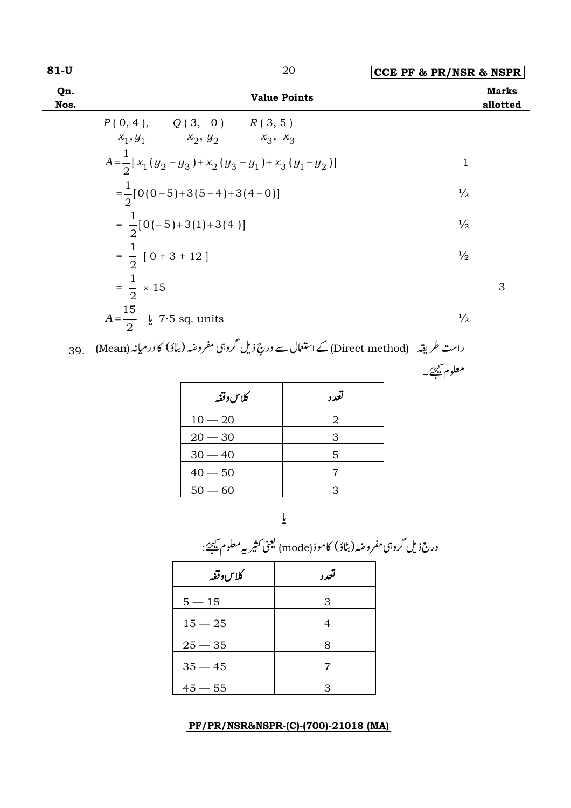| <b>Marks</b><br>Qn.<br><b>Value Points</b><br>Nos.<br>allotted<br>$P(0, 4), \qquad Q(3, 0) \qquad R(3, 5)$<br>$x_1, y_1$ $x_2, y_2$ $x_3, x_3$<br>$A = \frac{1}{2} [x_1 (y_2 - y_3) + x_2 (y_3 - y_1) + x_3 (y_1 - y_2)]$<br>$\mathbf 1$<br>$=\frac{1}{2}[0(0-5)+3(5-4)+3(4-0)]$<br>$\frac{1}{2}$<br>$=\frac{1}{2}[0(-5)+3(1)+3(4)]$<br>$\frac{1}{2}$<br>$=\frac{1}{2}$ [ 0 + 3 + 12 ]<br>$\frac{1}{2}$<br>$=\frac{1}{2} \times 15$<br>3<br>$A=\frac{15}{2}$ $\frac{1}{2}$ 7.5 sq. units<br>$\frac{1}{2}$<br>راست طریقہ     (Direct method) کے استعمال سے درجِ ذیل گروہی مفروضہ (بٹاؤ) کا در میانہ (Mean)<br>39.<br>معلوم كيجئجه<br>كلاس وقفه<br>تعدد<br>$\mathbf 2$<br>$10 - 20$<br>$20 - 30$<br>$\ensuremath{\mathsf{3}}$<br>$30 - 40$<br>$\mathbf 5$<br>$40 - 50$<br>7<br>$50 - 60$<br>3<br>ř<br>درج ذیل گروہی مفروضہ (بٹاؤ) کاموڈ (mode) یعنی کثیر پہ معلوم ﷺ:<br>كلاس وقفه<br>تعدد<br>$5 - 15$<br>3<br>$15 - 25$ | $81-U$ |  | 20 | CCE PF & PR/NSR & NSPR |  |
|-----------------------------------------------------------------------------------------------------------------------------------------------------------------------------------------------------------------------------------------------------------------------------------------------------------------------------------------------------------------------------------------------------------------------------------------------------------------------------------------------------------------------------------------------------------------------------------------------------------------------------------------------------------------------------------------------------------------------------------------------------------------------------------------------------------------------------------------------------------------------------------------------------------------------|--------|--|----|------------------------|--|
|                                                                                                                                                                                                                                                                                                                                                                                                                                                                                                                                                                                                                                                                                                                                                                                                                                                                                                                       |        |  |    |                        |  |
|                                                                                                                                                                                                                                                                                                                                                                                                                                                                                                                                                                                                                                                                                                                                                                                                                                                                                                                       |        |  |    |                        |  |
|                                                                                                                                                                                                                                                                                                                                                                                                                                                                                                                                                                                                                                                                                                                                                                                                                                                                                                                       |        |  |    |                        |  |
|                                                                                                                                                                                                                                                                                                                                                                                                                                                                                                                                                                                                                                                                                                                                                                                                                                                                                                                       |        |  |    |                        |  |
|                                                                                                                                                                                                                                                                                                                                                                                                                                                                                                                                                                                                                                                                                                                                                                                                                                                                                                                       |        |  |    |                        |  |
|                                                                                                                                                                                                                                                                                                                                                                                                                                                                                                                                                                                                                                                                                                                                                                                                                                                                                                                       |        |  |    |                        |  |
|                                                                                                                                                                                                                                                                                                                                                                                                                                                                                                                                                                                                                                                                                                                                                                                                                                                                                                                       |        |  |    |                        |  |
|                                                                                                                                                                                                                                                                                                                                                                                                                                                                                                                                                                                                                                                                                                                                                                                                                                                                                                                       |        |  |    |                        |  |
|                                                                                                                                                                                                                                                                                                                                                                                                                                                                                                                                                                                                                                                                                                                                                                                                                                                                                                                       |        |  |    |                        |  |
|                                                                                                                                                                                                                                                                                                                                                                                                                                                                                                                                                                                                                                                                                                                                                                                                                                                                                                                       |        |  |    |                        |  |
|                                                                                                                                                                                                                                                                                                                                                                                                                                                                                                                                                                                                                                                                                                                                                                                                                                                                                                                       |        |  |    |                        |  |
|                                                                                                                                                                                                                                                                                                                                                                                                                                                                                                                                                                                                                                                                                                                                                                                                                                                                                                                       |        |  |    |                        |  |
|                                                                                                                                                                                                                                                                                                                                                                                                                                                                                                                                                                                                                                                                                                                                                                                                                                                                                                                       |        |  |    |                        |  |
|                                                                                                                                                                                                                                                                                                                                                                                                                                                                                                                                                                                                                                                                                                                                                                                                                                                                                                                       |        |  |    |                        |  |
|                                                                                                                                                                                                                                                                                                                                                                                                                                                                                                                                                                                                                                                                                                                                                                                                                                                                                                                       |        |  |    |                        |  |
|                                                                                                                                                                                                                                                                                                                                                                                                                                                                                                                                                                                                                                                                                                                                                                                                                                                                                                                       |        |  |    |                        |  |
|                                                                                                                                                                                                                                                                                                                                                                                                                                                                                                                                                                                                                                                                                                                                                                                                                                                                                                                       |        |  |    |                        |  |
|                                                                                                                                                                                                                                                                                                                                                                                                                                                                                                                                                                                                                                                                                                                                                                                                                                                                                                                       |        |  |    |                        |  |
|                                                                                                                                                                                                                                                                                                                                                                                                                                                                                                                                                                                                                                                                                                                                                                                                                                                                                                                       |        |  |    |                        |  |
|                                                                                                                                                                                                                                                                                                                                                                                                                                                                                                                                                                                                                                                                                                                                                                                                                                                                                                                       |        |  |    |                        |  |
|                                                                                                                                                                                                                                                                                                                                                                                                                                                                                                                                                                                                                                                                                                                                                                                                                                                                                                                       |        |  | 4  |                        |  |
| $25 - 35$<br>8                                                                                                                                                                                                                                                                                                                                                                                                                                                                                                                                                                                                                                                                                                                                                                                                                                                                                                        |        |  |    |                        |  |
| $35 - 45$<br>7                                                                                                                                                                                                                                                                                                                                                                                                                                                                                                                                                                                                                                                                                                                                                                                                                                                                                                        |        |  |    |                        |  |
| $45 - 55$<br>3                                                                                                                                                                                                                                                                                                                                                                                                                                                                                                                                                                                                                                                                                                                                                                                                                                                                                                        |        |  |    |                        |  |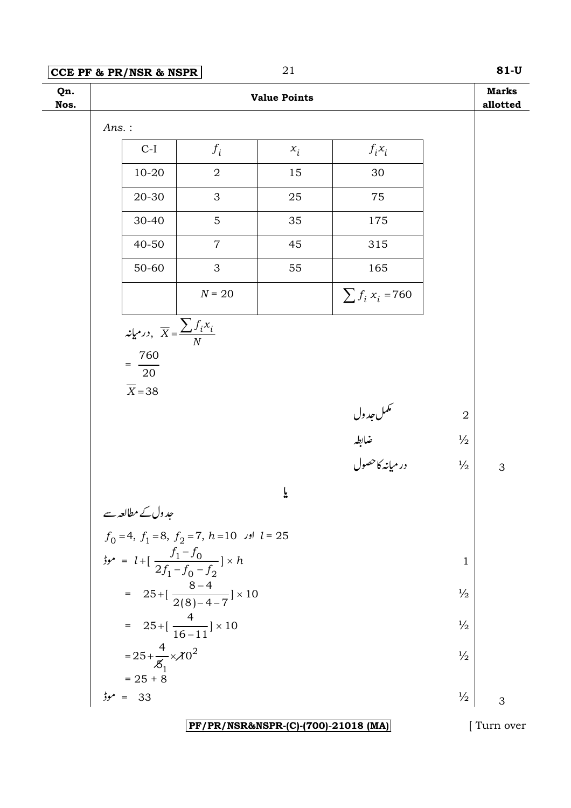$81-U$ 

| Qn.<br>Nos. |                                                                                         |                                           | <b>Value Points</b> |                                         |                | <b>Marks</b><br>allotted |
|-------------|-----------------------------------------------------------------------------------------|-------------------------------------------|---------------------|-----------------------------------------|----------------|--------------------------|
|             | $Ans.$ :                                                                                |                                           |                     |                                         |                |                          |
|             | $C-I$                                                                                   | $f_i$                                     | $x_i$               | $f_i x_i$                               |                |                          |
|             | $10 - 20$                                                                               | $\overline{2}$                            | 15                  | 30                                      |                |                          |
|             | 20-30                                                                                   | 3                                         | 25                  | 75                                      |                |                          |
|             | 30-40                                                                                   | 5                                         | 35                  | 175                                     |                |                          |
|             | 40-50                                                                                   | $\overline{7}$                            | 45                  | 315                                     |                |                          |
|             | 50-60                                                                                   | 3                                         | 55                  | 165                                     |                |                          |
|             |                                                                                         | $N = 20$                                  |                     | $\sum f_i x_i = 760$                    |                |                          |
|             | درمیانه, $\overline{X} = \frac{\sum \overline{f_i x_i}}{N}$                             |                                           |                     |                                         |                |                          |
|             | 760                                                                                     |                                           |                     |                                         |                |                          |
|             | 20                                                                                      |                                           |                     |                                         |                |                          |
|             | $\overline{X}$ = 38                                                                     |                                           |                     |                                         |                |                          |
|             |                                                                                         |                                           |                     | سمکمل جدول<br>ضابطہ<br>در میانہ کا حصول | $\overline{2}$ |                          |
|             |                                                                                         |                                           |                     |                                         | $\frac{1}{2}$  |                          |
|             |                                                                                         |                                           |                     |                                         | $\frac{1}{2}$  | 3                        |
|             |                                                                                         |                                           | یا                  |                                         |                |                          |
|             | جدول کے مطالعہ سے $f_0 = 4, f_1 = 8, f_2 = 7, h = 10$ اور $l = 25$                      |                                           |                     |                                         |                |                          |
|             |                                                                                         |                                           |                     |                                         |                |                          |
|             | $t_1 = l + [\frac{f_1 - f_0}{2f_1 - f_0 - f_2}] \times h$                               |                                           |                     |                                         | $\mathbf 1$    |                          |
|             |                                                                                         | = $25 + [\frac{8-4}{2(8)-4-7}] \times 10$ |                     |                                         | $\frac{1}{2}$  |                          |
|             | = $25 + [\frac{4}{16-11}] \times 10$                                                    |                                           |                     |                                         | $\frac{1}{2}$  |                          |
|             | = $25 + \frac{4}{5} \times 10^{2}$<br>= $25 + 8$<br>$\frac{1}{2} \times 10^{2}$<br>= 33 |                                           |                     |                                         | $\frac{1}{2}$  |                          |
|             |                                                                                         |                                           |                     |                                         |                |                          |
|             |                                                                                         |                                           |                     |                                         | $\frac{1}{2}$  | 3                        |

PF/PR/NSR&NSPR-(C)-(700)-21018 (MA)

[Turn over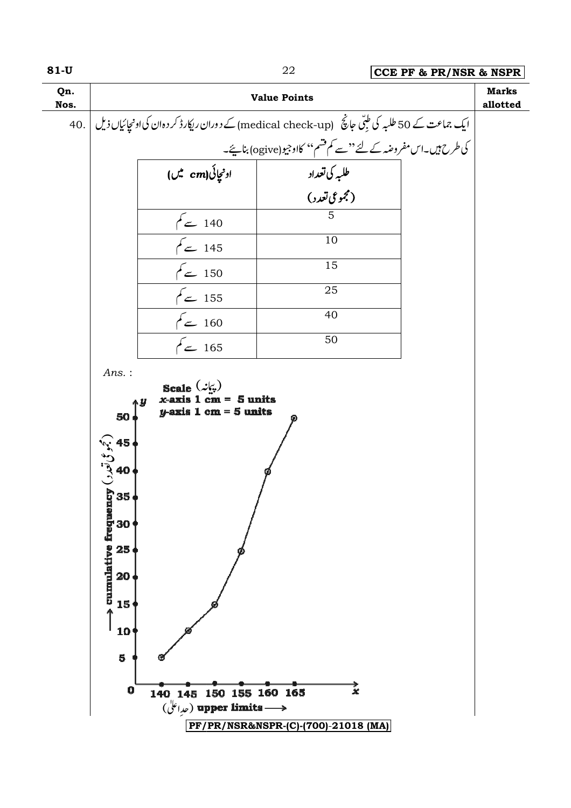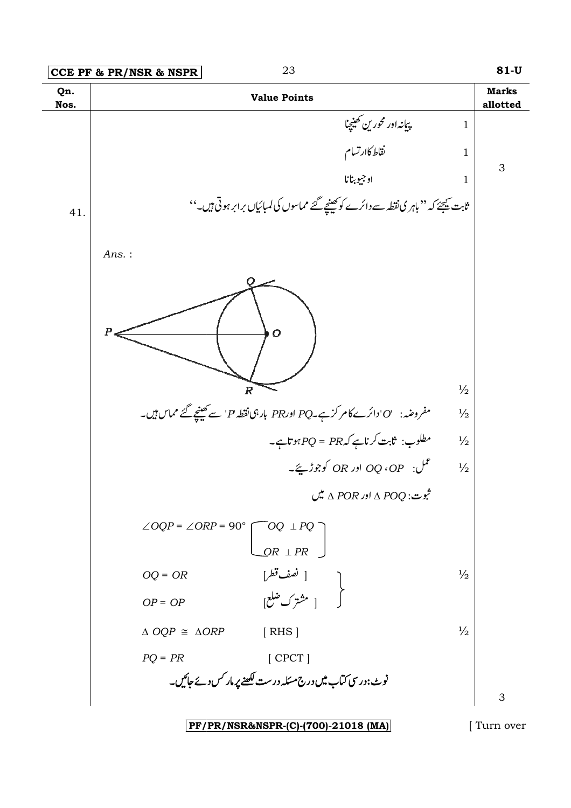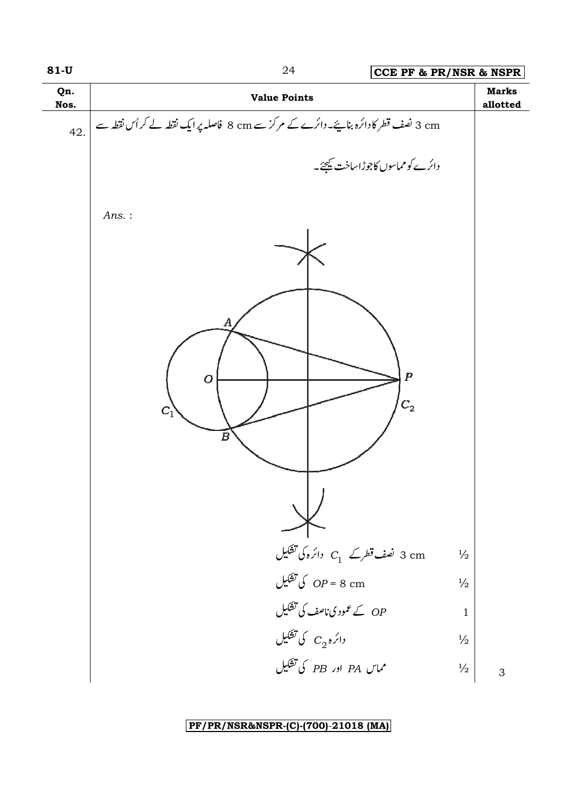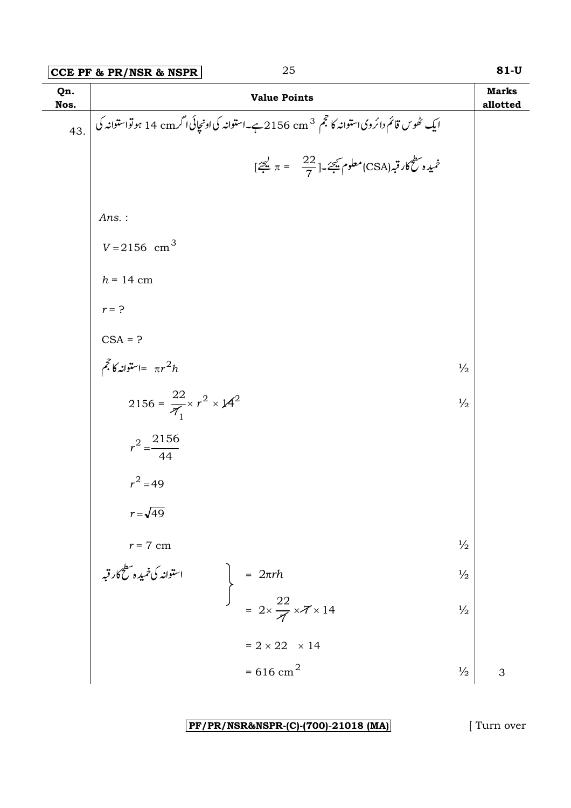|             | 25<br>CCE PF & PR/NSR & NSPR                                                                 |               | $81-U$                   |
|-------------|----------------------------------------------------------------------------------------------|---------------|--------------------------|
| Qn.<br>Nos. | <b>Value Points</b>                                                                          |               | <b>Marks</b><br>allotted |
| 43.         | ایک ٹھوس قائم دائرویاستوانہ کا حجم 2156 cm 2 ہے۔استوانہ کی اونچائی اگر 14 cm ہو تواستوانہ کی |               |                          |
|             | $[\frac{22}{7} \pi = \frac{22}{7}]\frac{22}{7}$ معلوم شیحے۔                                  |               |                          |
|             | Ans.:                                                                                        |               |                          |
|             | $V = 2156$ cm <sup>3</sup>                                                                   |               |                          |
|             | $h = 14$ cm                                                                                  |               |                          |
|             | $r = ?$                                                                                      |               |                          |
|             | $CSA = ?$                                                                                    |               |                          |
|             | $\tilde{\mathscr{F}}$ استوانه کا $\tilde{\mathscr{F}}$                                       | $\frac{1}{2}$ |                          |
|             | 2156 = $\frac{22}{7} \times r^2 \times 14^2$                                                 | $\frac{1}{2}$ |                          |
|             | $r^2 = \frac{2156}{44}$                                                                      |               |                          |
|             | $r^2 = 49$                                                                                   |               |                          |
|             | $r = \sqrt{49}$                                                                              |               |                          |
|             | $r = 7$ cm                                                                                   | $\frac{1}{2}$ |                          |
|             | استوانه کی خمیدہ سطح<br>کار قبہ                                                              | $\frac{1}{2}$ |                          |
|             | = $2\pi rh$<br>= $2 \times \frac{22}{7} \times 7 \times 14$                                  | $\frac{1}{2}$ |                          |
|             | $= 2 \times 22 \times 14$                                                                    |               |                          |
|             | $= 616$ cm <sup>2</sup>                                                                      | $\frac{1}{2}$ | 3                        |

[ Turn over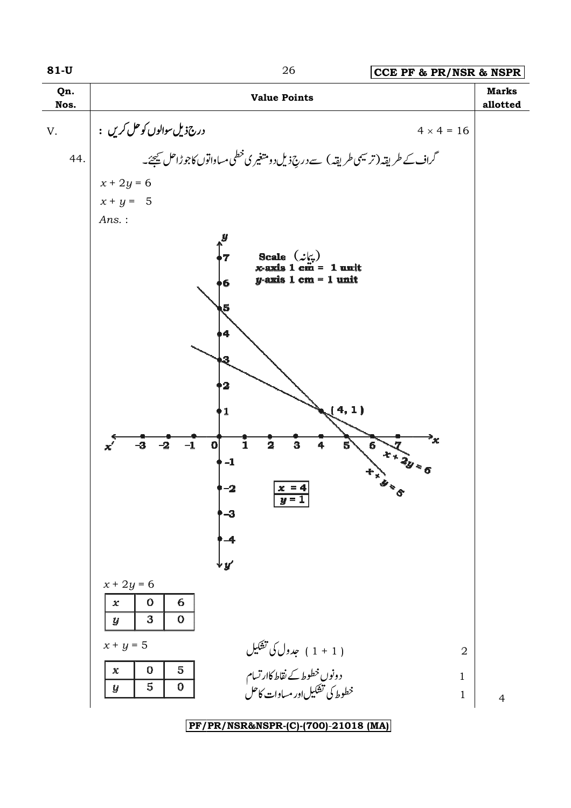| Qn.<br>Nos. | <b>Value Points</b>                                                                                                                                                                                    | <b>Marks</b><br>allotted |
|-------------|--------------------------------------------------------------------------------------------------------------------------------------------------------------------------------------------------------|--------------------------|
| V.          | درج ذیل سوالوں کو حل کریں :<br>$4 \times 4 = 16$                                                                                                                                                       |                          |
| 44.         | گراف کے طریقہ (ترسیمی طریقہ ) سے دری <sup>3</sup> ذیل دو متغیری خطی مساواتوں کاجوڑاحل <u>ت</u> ھیجے۔                                                                                                   |                          |
|             | $x + 2y = 6$                                                                                                                                                                                           |                          |
|             | $x + y = 5$                                                                                                                                                                                            |                          |
|             | $Ans.$ :                                                                                                                                                                                               |                          |
|             | Scale $(\mathcal{L}\zeta)$<br>x-axis 1 cm = 1 unit<br>7<br>$y$ -axis 1 cm = 1 unit<br>$6\overline{6}$<br>ι5                                                                                            |                          |
|             | 4<br>$\overline{\mathbf{2}}$<br>4, 1)<br>1                                                                                                                                                             |                          |
|             | `κ<br>$\tilde{1}$<br>$-3$<br>$\mathbf{0}$<br>$\overline{\mathbf{2}}$<br>$-1$<br>3<br>$6 + 2y =$<br>$-2$<br>$5^{\circ}$<br>$\mathbf{x}'$<br>$-1$<br>$-2$<br>$x = 4$<br>$\boldsymbol{u} =$<br>-3<br>$-4$ |                          |
|             | $x + 2y = 6$<br>$\mathbf{O}$<br>6<br>$\chi$<br>$\mathbf{3}$<br>$\boldsymbol{0}$<br>$\boldsymbol{y}$                                                                                                    |                          |
|             | $x+y=5$<br>( 1 + 1 ) جدول کی تشکیل<br>$\overline{2}$                                                                                                                                                   |                          |
|             | ،<br>دونوں خطوط کے نقاط کاارتسام<br>خطوط کی تشکیل اور مساوات کاحل<br>$\mathbf 0$<br>5<br>$\pmb{\chi}$<br>$\mathbf{1}$<br>$\mathbf 0$<br>5<br>$\boldsymbol{y}$<br>$\mathbf{1}$                          | $\overline{4}$           |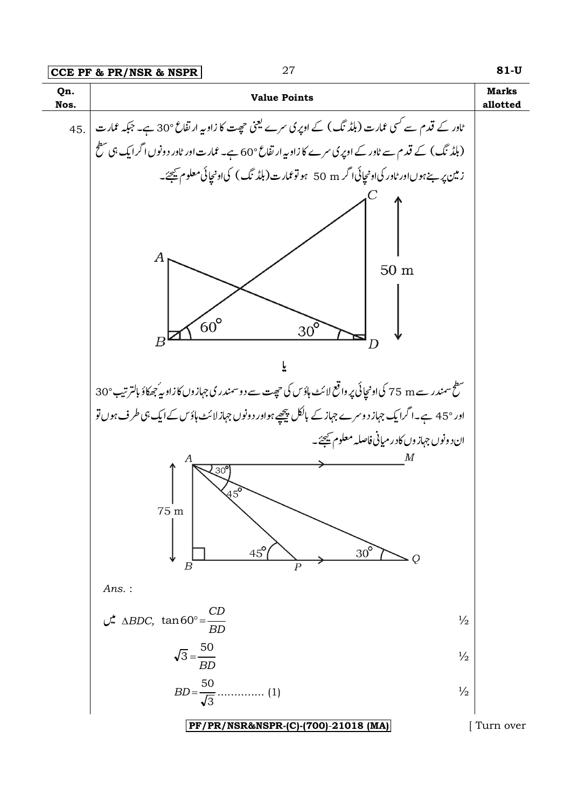|             | 27<br>CCE PF & PR/NSR & NSPR                                                                                                                       | 81-U                     |
|-------------|----------------------------------------------------------------------------------------------------------------------------------------------------|--------------------------|
| Qn.<br>Nos. | <b>Value Points</b>                                                                                                                                | <b>Marks</b><br>allotted |
|             | ٹاور کے قدم سے کسی عمارت (بلڈ نگ) کے اوپری سرے یعنی حصٍت کا زاویہ ارتفاع °30 ہے۔ جبکہ عمارت   .45                                                  |                          |
|             | (بلڈ نگ) کے قدم سے ٹاور کے اوپر کی سرے کا زاویہ ارتفاع °60 ہے۔ عمارت اور ٹاور دونوں اگرایک ہی سطح                                                  |                          |
|             | زمین پر ہےہوںاور ٹاور کیااونجائیاا گر 50 m ہوتو ممارت(بلڈ نگ) کیااونجائی معلوم کیجئے۔                                                              |                          |
|             | Α<br>50 <sub>m</sub><br>$60^{\circ}$                                                                                                               |                          |
|             | $30^{\circ}$<br>B<br>D                                                                                                                             |                          |
|             |                                                                                                                                                    |                          |
|             | سطح سمندر سے 75 m کی اونچائی پر واقع لائٹ ہاؤس کی حیجت سے دوسمندر کی جہازوں کا زاویہ ُجھکاؤ بالترتیب °30                                           |                          |
|             | اور °45 ہے۔اگرایک جہاز دوسرے جہاز کے بالکل پیچھے ہواور دونوں جہاز لائٹ ہاؤس کے ایک ہی طرف ہوں تو                                                   |                          |
|             | ان د ونوں جہاز وں کادر میائی فاصلہ معلوم ﷺ۔<br>30<br>45°<br>75 m<br>$30^\circ$<br>$45^{\circ}$<br>Q<br>$_{\scriptscriptstyle B}$<br>$\overline{P}$ |                          |
|             | Ans.:                                                                                                                                              |                          |
|             | $\frac{CD}{AD}$ $\triangle BDC$ , $\tan 60^\circ = \frac{CD}{BD}$<br>$\frac{1}{2}$                                                                 |                          |
|             | $\sqrt{3} = \frac{50}{BD}$<br>$\frac{1}{2}$                                                                                                        |                          |
|             | $\frac{1}{2}$                                                                                                                                      |                          |
|             | PF/PR/NSR&NSPR-(C)-(700)-21018 (MA)                                                                                                                | Turn over                |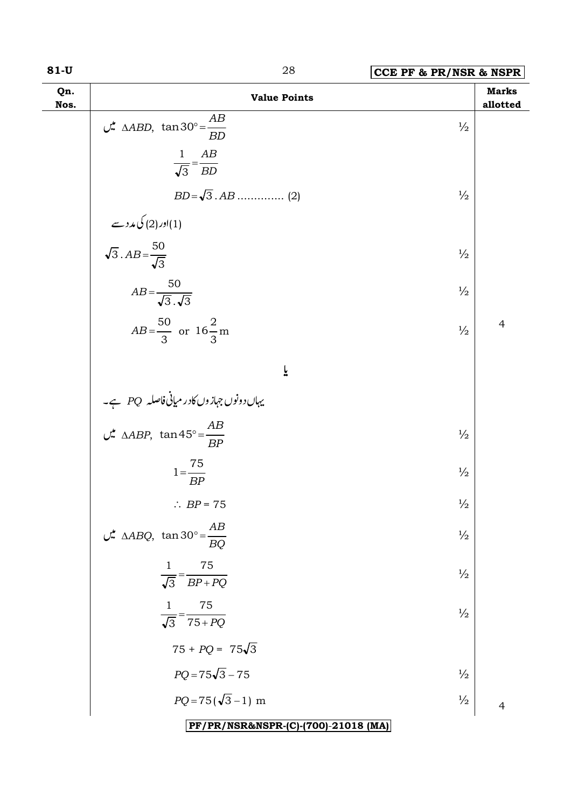| M.<br>۰. |  | v.<br>۰, |  |
|----------|--|----------|--|
|----------|--|----------|--|

| $81-U$      | 28<br>CCE PF & PR/NSR & NSPR                                                        |               |                          |
|-------------|-------------------------------------------------------------------------------------|---------------|--------------------------|
| Qn.<br>Nos. | <b>Value Points</b>                                                                 |               | <b>Marks</b><br>allotted |
|             | $\mathcal{L}$ $\triangle ABD$ , $\tan 30^\circ = \frac{AB}{BD}$                     | $\frac{1}{2}$ |                          |
|             | $\frac{1}{\sqrt{3}} = \frac{AB}{BD}$                                                |               |                          |
|             |                                                                                     | $\frac{1}{2}$ |                          |
|             |                                                                                     |               |                          |
|             | اور (2) کی مدد سے (1)<br>$\sqrt{3}$ . $AB = \frac{50}{\sqrt{3}}$                    | $\frac{1}{2}$ |                          |
|             | $AB = \frac{50}{\sqrt{3} \cdot \sqrt{3}}$                                           | $\frac{1}{2}$ |                          |
|             | $AB = \frac{50}{3}$ or $16\frac{2}{3}$ m                                            | $\frac{1}{2}$ | $\overline{4}$           |
|             | ĩ                                                                                   |               |                          |
|             |                                                                                     |               |                          |
|             | یہاںدونوں جہازوں کادر میانی فاصلہ PQ ہے۔<br>MABP, tan 45° = <u>AB میں AABP, tan</u> | $\frac{1}{2}$ |                          |
|             | $1 = \frac{75}{BP}$                                                                 | $\frac{1}{2}$ |                          |
|             | $\therefore BP = 75$                                                                | $\frac{1}{2}$ |                          |
|             | $\mathcal{L}$ $\Delta ABQ$ , $\tan 30^\circ = \frac{AB}{BQ}$                        | $\frac{1}{2}$ |                          |
|             | 75<br>1<br>$\frac{1}{\sqrt{3}} = \frac{1}{BP + PQ}$                                 | $\frac{1}{2}$ |                          |
|             | 75<br>1<br>$\overline{\sqrt{3}} = \overline{75 + PQ}$                               | $\frac{1}{2}$ |                          |
|             | $75 + PQ = 75\sqrt{3}$                                                              |               |                          |
|             | $PQ = 75\sqrt{3} - 75$                                                              | $\frac{1}{2}$ |                          |
|             | $PQ = 75(\sqrt{3}-1)$ m                                                             | $\frac{1}{2}$ | $\overline{4}$           |
|             | PF/PR/NSR&NSPR-(C)-(700)-21018 (MA)                                                 |               |                          |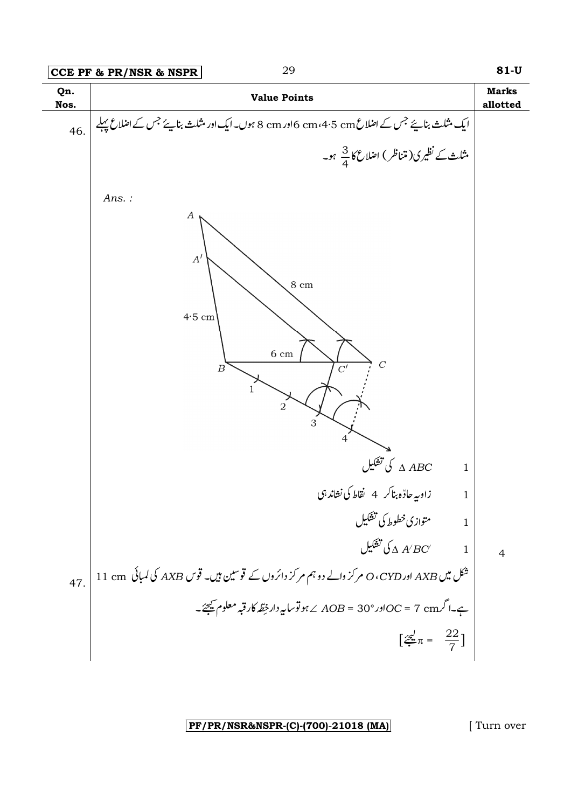

[Turn over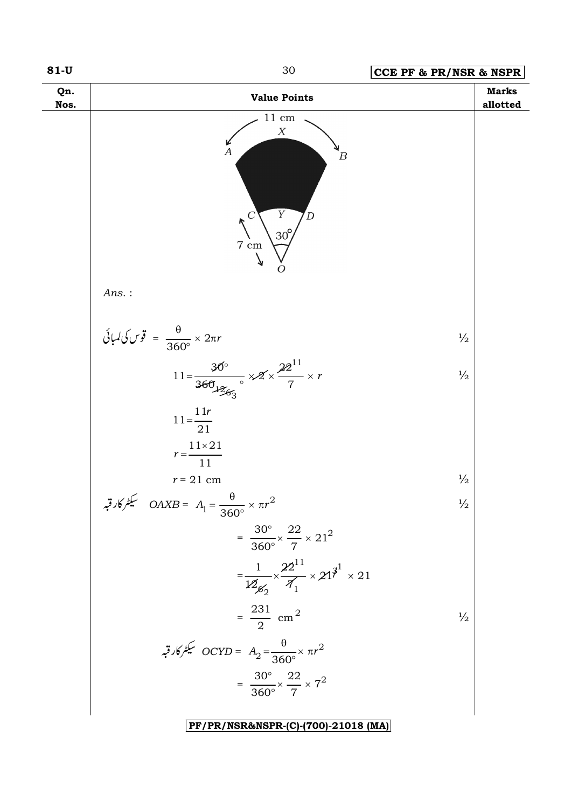![](_page_29_Figure_0.jpeg)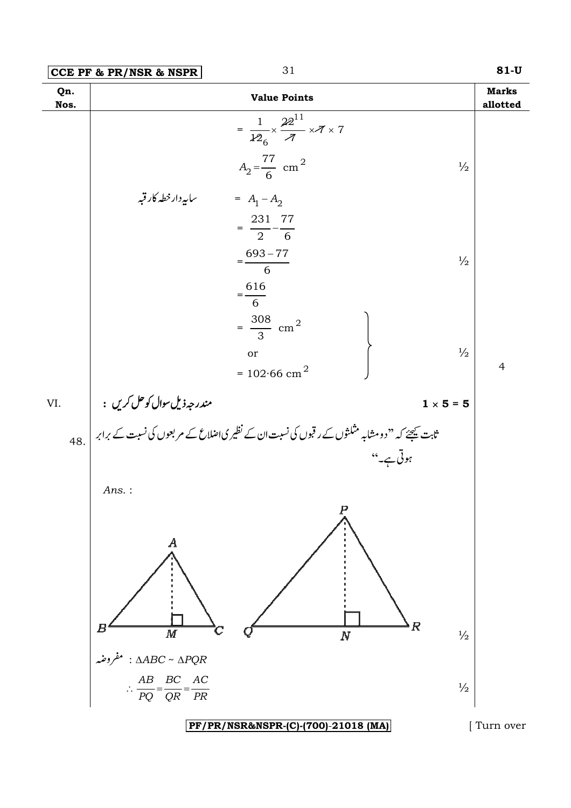|                                                  | CCE PF & PR/NSR & NSPR                                                                                                               | 31                                                                                                                                                           | $81-U$                   |
|--------------------------------------------------|--------------------------------------------------------------------------------------------------------------------------------------|--------------------------------------------------------------------------------------------------------------------------------------------------------------|--------------------------|
| Qn.<br>Nos.                                      |                                                                                                                                      | <b>Value Points</b>                                                                                                                                          | <b>Marks</b><br>allotted |
|                                                  |                                                                                                                                      | $= \frac{1}{126} \times \frac{22^{11}}{7} \times 7 \times 7$<br>$A_2 = \frac{77}{6}$ cm <sup>2</sup><br>$\frac{1}{2}$                                        |                          |
|                                                  | سابپەدار خطہ کار قبہ                                                                                                                 | = $A_1 - A_2$<br>$=\frac{231}{2} - \frac{77}{6}$<br>$=\frac{693-77}{6}$<br>$\frac{1}{2}$<br>$=\frac{616}{6}$                                                 |                          |
|                                                  |                                                                                                                                      | $=\frac{308}{3}$ cm <sup>2</sup><br>$\frac{1}{2}$<br>or<br>= $102.66$ cm <sup>2</sup>                                                                        | $\overline{4}$           |
| VI.                                              |                                                                                                                                      | $1 \times 5 = 5$                                                                                                                                             |                          |
|                                                  | Ans.:                                                                                                                                | مندرجہ ذیل سوال کوحل کریں :<br>ثابت <u>ب</u> یجے کہ ''دومشابہ مثلثوں کے رقبوں کی نسبت ان کے نظیر کیااصلاع کے مربعوں کی نسبت <i>کے بر</i> ابر  <br>ہوتی ہے۔'' |                          |
|                                                  | $\boldsymbol{A}$<br>Н<br>$\boldsymbol{M}$<br>: $\triangle ABC \sim \triangle PQR$<br>$\frac{AB}{PQ} = \frac{BC}{QR} = \frac{AC}{PR}$ | $\pmb{R}$<br>$\boldsymbol{N}$<br>$\frac{1}{2}$<br>$\frac{1}{2}$                                                                                              |                          |
| PF/PR/NSR&NSPR-(C)-(700)-21018 (MA)<br>Turn over |                                                                                                                                      |                                                                                                                                                              |                          |